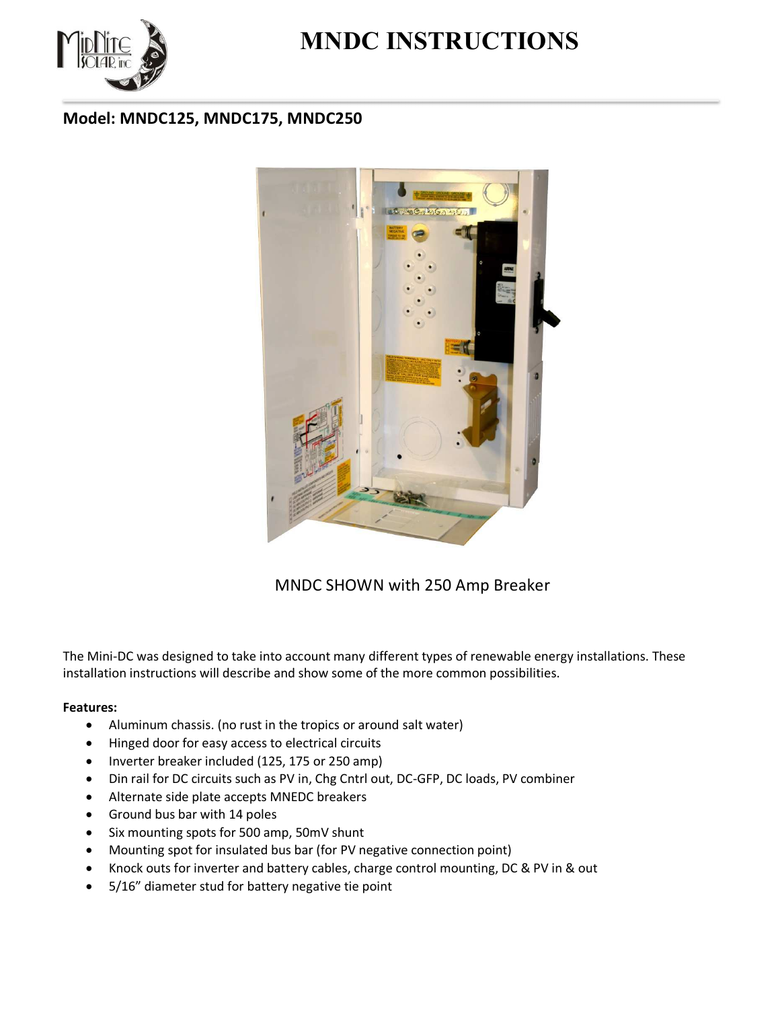

# **MNDC INSTRUCTIONS**

# **Model: MNDC125, MNDC175, MNDC250**



### MNDC SHOWN with 250 Amp Breaker

The Mini-DC was designed to take into account many different types of renewable energy installations. These installation instructions will describe and show some of the more common possibilities.

#### **Features:**

- Aluminum chassis. (no rust in the tropics or around salt water)
- Hinged door for easy access to electrical circuits
- Inverter breaker included (125, 175 or 250 amp)
- Din rail for DC circuits such as PV in, Chg Cntrl out, DC-GFP, DC loads, PV combiner
- Alternate side plate accepts MNEDC breakers
- Ground bus bar with 14 poles
- Six mounting spots for 500 amp, 50mV shunt
- Mounting spot for insulated bus bar (for PV negative connection point)
- Knock outs for inverter and battery cables, charge control mounting, DC & PV in & out
- 5/16" diameter stud for battery negative tie point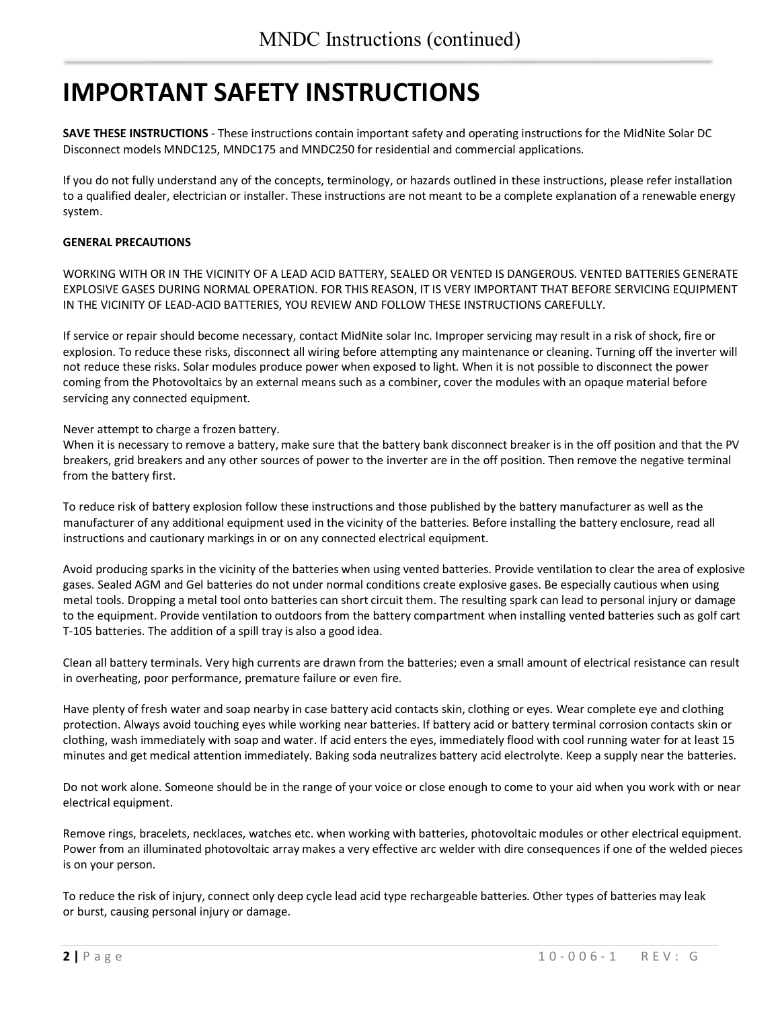# **IMPORTANT SAFETY INSTRUCTIONS**

**SAVE THESE INSTRUCTIONS** - These instructions contain important safety and operating instructions for the MidNite Solar DC Disconnect models MNDC125, MNDC175 and MNDC250 for residential and commercial applications.

If you do not fully understand any of the concepts, terminology, or hazards outlined in these instructions, please refer installation to a qualified dealer, electrician or installer. These instructions are not meant to be a complete explanation of a renewable energy system.

#### **GENERAL PRECAUTIONS**

WORKING WITH OR IN THE VICINITY OF A LEAD ACID BATTERY, SEALED OR VENTED IS DANGEROUS. VENTED BATTERIES GENERATE EXPLOSIVE GASES DURING NORMAL OPERATION. FOR THIS REASON, IT IS VERY IMPORTANT THAT BEFORE SERVICING EQUIPMENT IN THE VICINITY OF LEAD-ACID BATTERIES, YOU REVIEW AND FOLLOW THESE INSTRUCTIONS CAREFULLY.

If service or repair should become necessary, contact MidNite solar Inc. Improper servicing may result in a risk of shock, fire or explosion. To reduce these risks, disconnect all wiring before attempting any maintenance or cleaning. Turning off the inverter will not reduce these risks. Solar modules produce power when exposed to light. When it is not possible to disconnect the power coming from the Photovoltaics by an external means such as a combiner, cover the modules with an opaque material before servicing any connected equipment.

Never attempt to charge a frozen battery.

When it is necessary to remove a battery, make sure that the battery bank disconnect breaker is in the off position and that the PV breakers, grid breakers and any other sources of power to the inverter are in the off position. Then remove the negative terminal from the battery first.

To reduce risk of battery explosion follow these instructions and those published by the battery manufacturer as well as the manufacturer of any additional equipment used in the vicinity of the batteries. Before installing the battery enclosure, read all instructions and cautionary markings in or on any connected electrical equipment.

Avoid producing sparks in the vicinity of the batteries when using vented batteries. Provide ventilation to clear the area of explosive gases. Sealed AGM and Gel batteries do not under normal conditions create explosive gases. Be especially cautious when using metal tools. Dropping a metal tool onto batteries can short circuit them. The resulting spark can lead to personal injury or damage to the equipment. Provide ventilation to outdoors from the battery compartment when installing vented batteries such as golf cart T-105 batteries. The addition of a spill tray is also a good idea.

Clean all battery terminals. Very high currents are drawn from the batteries; even a small amount of electrical resistance can result in overheating, poor performance, premature failure or even fire.

Have plenty of fresh water and soap nearby in case battery acid contacts skin, clothing or eyes. Wear complete eye and clothing protection. Always avoid touching eyes while working near batteries. If battery acid or battery terminal corrosion contacts skin or clothing, wash immediately with soap and water. If acid enters the eyes, immediately flood with cool running water for at least 15 minutes and get medical attention immediately. Baking soda neutralizes battery acid electrolyte. Keep a supply near the batteries.

Do not work alone. Someone should be in the range of your voice or close enough to come to your aid when you work with or near electrical equipment.

Remove rings, bracelets, necklaces, watches etc. when working with batteries, photovoltaic modules or other electrical equipment. Power from an illuminated photovoltaic array makes a very effective arc welder with dire consequences if one of the welded pieces is on your person.

To reduce the risk of injury, connect only deep cycle lead acid type rechargeable batteries. Other types of batteries may leak or burst, causing personal injury or damage.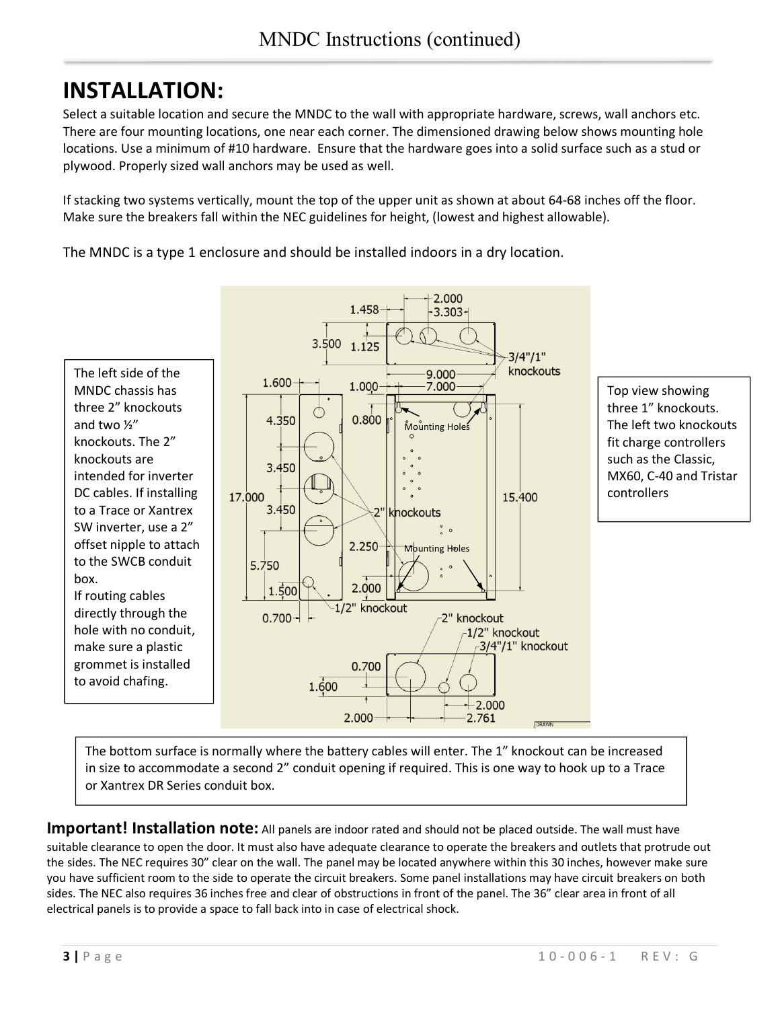# **INSTALLATION:**

Select a suitable location and secure the MNDC to the wall with appropriate hardware, screws, wall anchors etc. There are four mounting locations, one near each corner. The dimensioned drawing below shows mounting hole locations. Use a minimum of #10 hardware. Ensure that the hardware goes into a solid surface such as a stud or plywood. Properly sized wall anchors may be used as well.

If stacking two systems vertically, mount the top of the upper unit as shown at about 64-68 inches off the floor. Make sure the breakers fall within the NEC guidelines for height, (lowest and highest allowable).

The MNDC is a type 1 enclosure and should be installed indoors in a dry location.



The bottom surface is normally where the battery cables will enter. The 1" knockout can be increased in size to accommodate a second 2" conduit opening if required. This is one way to hook up to a Trace or Xantrex DR Series conduit box.

**Important! Installation note:** All panels are indoor rated and should not be placed outside. The wall must have suitable clearance to open the door. It must also have adequate clearance to operate the breakers and outlets that protrude out the sides. The NEC requires 30" clear on the wall. The panel may be located anywhere within this 30 inches, however make sure you have sufficient room to the side to operate the circuit breakers. Some panel installations may have circuit breakers on both sides. The NEC also requires 36 inches free and clear of obstructions in front of the panel. The 36" clear area in front of all electrical panels is to provide a space to fall back into in case of electrical shock.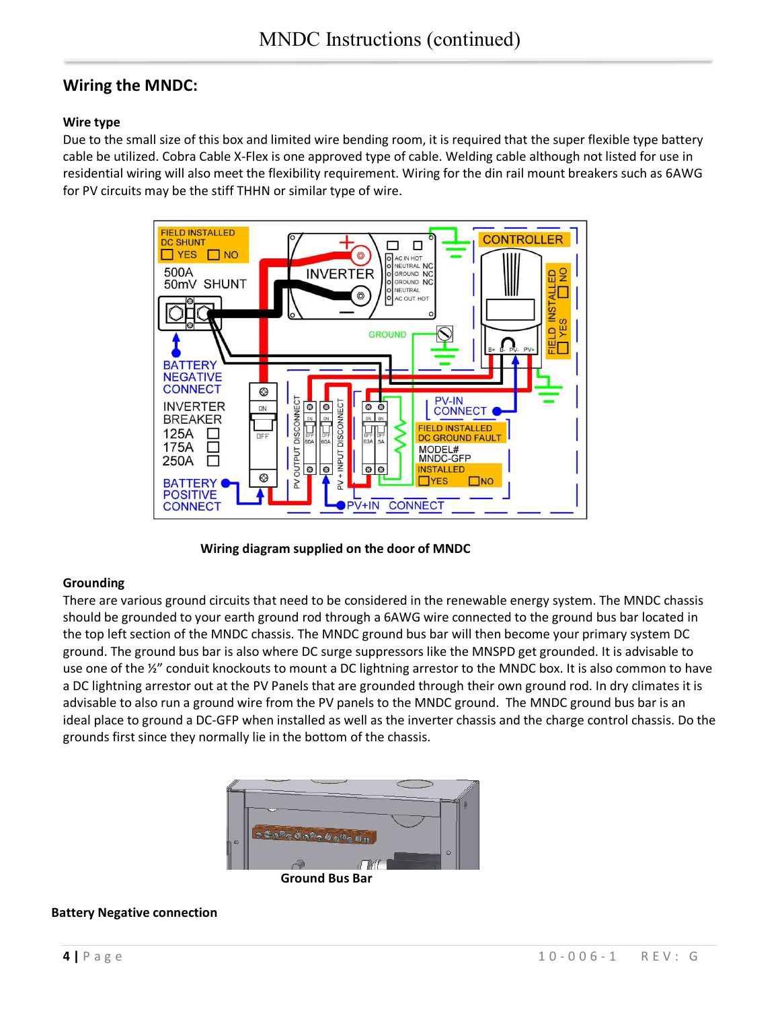## **Wiring the MNDC:**

### **Wire type**

Due to the small size of this box and limited wire bending room, it is required that the super flexible type battery cable be utilized. Cobra Cable X-Flex is one approved type of cable. Welding cable although not listed for use in residential wiring will also meet the flexibility requirement. Wiring for the din rail mount breakers such as 6AWG for PV circuits may be the stiff THHN or similar type of wire.



**Wiring diagram supplied on the door of MNDC** 

#### **Grounding**

There are various ground circuits that need to be considered in the renewable energy system. The MNDC chassis should be grounded to your earth ground rod through a 6AWG wire connected to the ground bus bar located in the top left section of the MNDC chassis. The MNDC ground bus bar will then become your primary system DC ground. The ground bus bar is also where DC surge suppressors like the MNSPD get grounded. It is advisable to use one of the  $\frac{y}{z}$  conduit knockouts to mount a DC lightning arrestor to the MNDC box. It is also common to have a DC lightning arrestor out at the PV Panels that are grounded through their own ground rod. In dry climates it is advisable to also run a ground wire from the PV panels to the MNDC ground. The MNDC ground bus bar is an ideal place to ground a DC-GFP when installed as well as the inverter chassis and the charge control chassis. Do the grounds first since they normally lie in the bottom of the chassis.



#### **Battery Negative connection**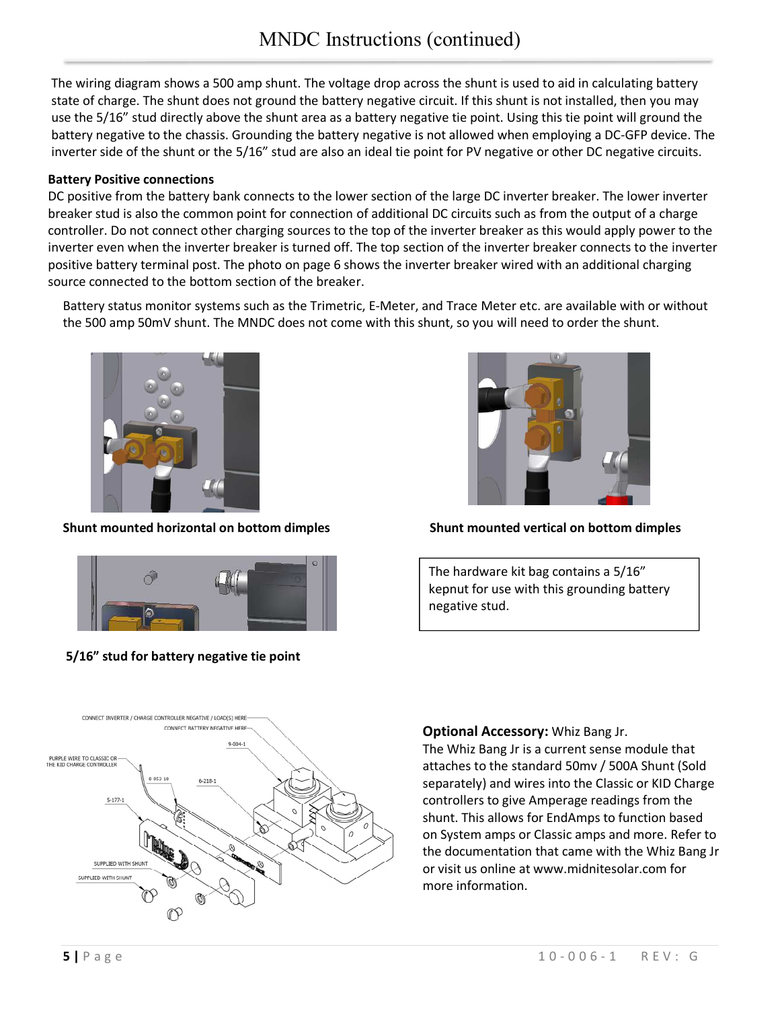The wiring diagram shows a 500 amp shunt. The voltage drop across the shunt is used to aid in calculating battery state of charge. The shunt does not ground the battery negative circuit. If this shunt is not installed, then you may use the 5/16" stud directly above the shunt area as a battery negative tie point. Using this tie point will ground the battery negative to the chassis. Grounding the battery negative is not allowed when employing a DC-GFP device. The inverter side of the shunt or the 5/16" stud are also an ideal tie point for PV negative or other DC negative circuits.

#### **Battery Positive connections**

DC positive from the battery bank connects to the lower section of the large DC inverter breaker. The lower inverter breaker stud is also the common point for connection of additional DC circuits such as from the output of a charge controller. Do not connect other charging sources to the top of the inverter breaker as this would apply power to the inverter even when the inverter breaker is turned off. The top section of the inverter breaker connects to the inverter positive battery terminal post. The photo on page 6 shows the inverter breaker wired with an additional charging source connected to the bottom section of the breaker.

Battery status monitor systems such as the Trimetric, E-Meter, and Trace Meter etc. are available with or without the 500 amp 50mV shunt. The MNDC does not come with this shunt, so you will need to order the shunt.



**Shunt mounted horizontal on bottom dimples Shunt mounted vertical on bottom dimples** 



 **5/16" stud for battery negative tie point** 



The hardware kit bag contains a 5/16" kepnut for use with this grounding battery negative stud.



#### **Optional Accessory:** Whiz Bang Jr.

shunt. This allows for EndAmps to function based The Whiz Bang Jr is a current sense module that attaches to the standard 50mv / 500A Shunt (Sold separately) and wires into the Classic or KID Charge controllers to give Amperage readings from the on System amps or Classic amps and more. Refer to the documentation that came with the Whiz Bang Jr or visit us online at www.midnitesolar.com for more information.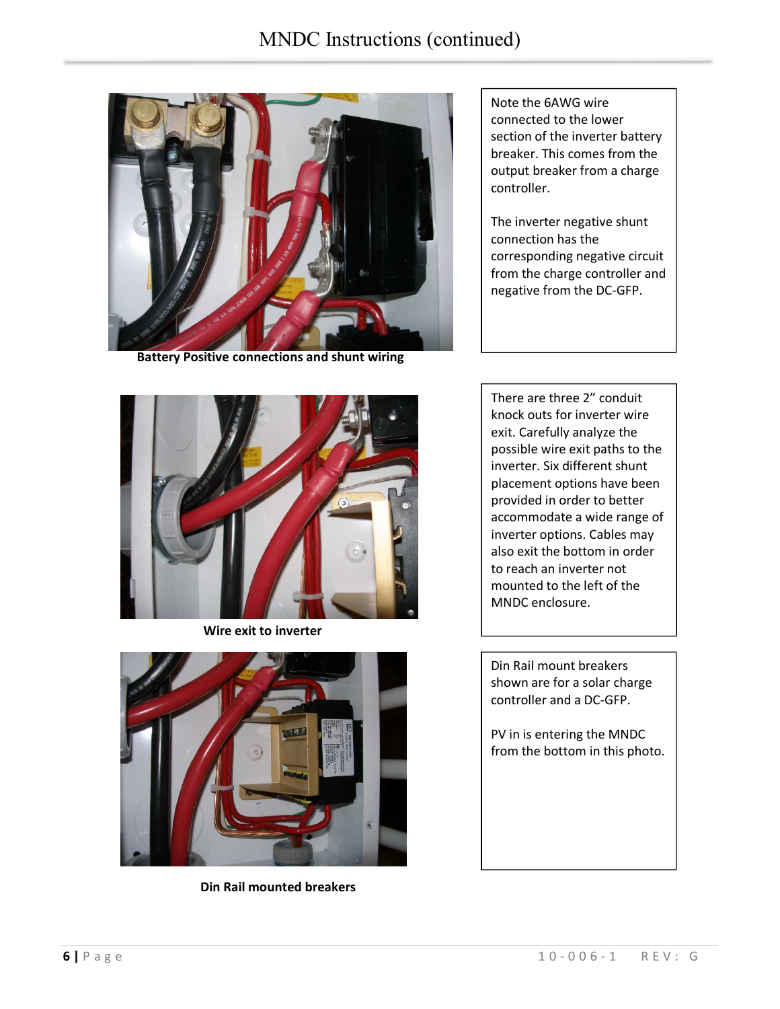

 **Battery Positive connections and shunt wiring** 

Note the 6AWG wire connected to the lower section of the inverter battery breaker. This comes from the output breaker from a charge controller.

The inverter negative shunt connection has the corresponding negative circuit from the charge controller and negative from the DC-GFP.



 **Wire exit to inverter** 



**Din Rail mounted breakers** 

There are three 2" conduit knock outs for inverter wire exit. Carefully analyze the possible wire exit paths to the inverter. Six different shunt placement options have been provided in order to better accommodate a wide range of inverter options. Cables may also exit the bottom in order to reach an inverter not mounted to the left of the MNDC enclosure.

Din Rail mount breakers shown are for a solar charge controller and a DC-GFP.

PV in is entering the MNDC from the bottom in this photo.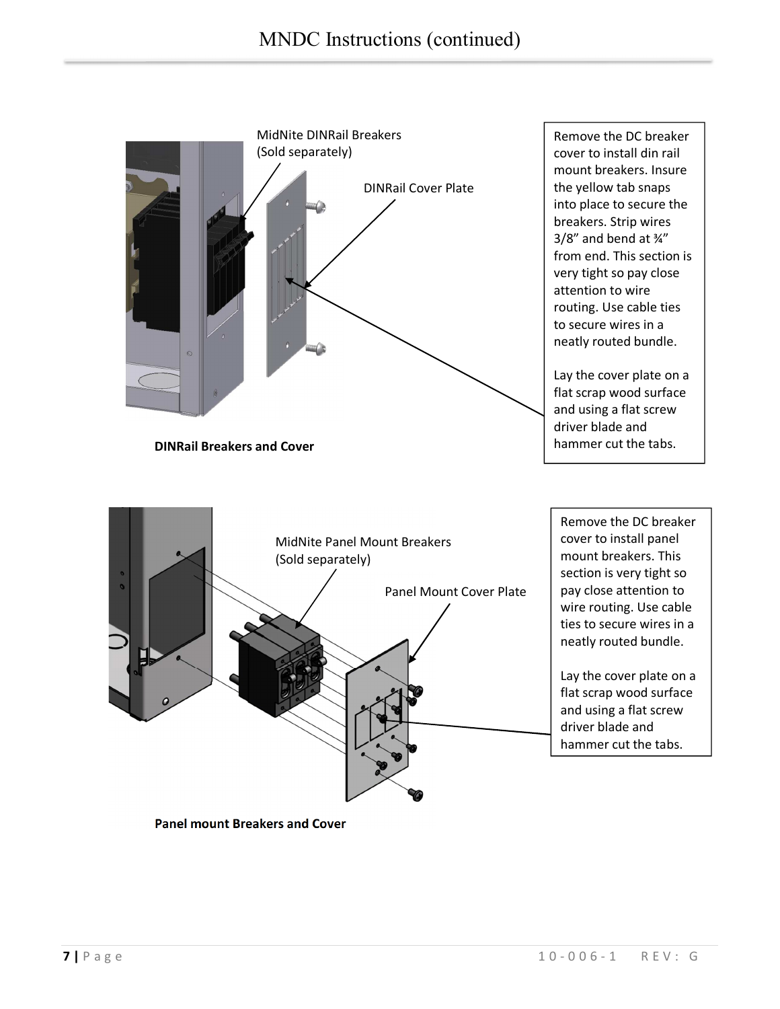

 **Panel mount Breakers and Cover**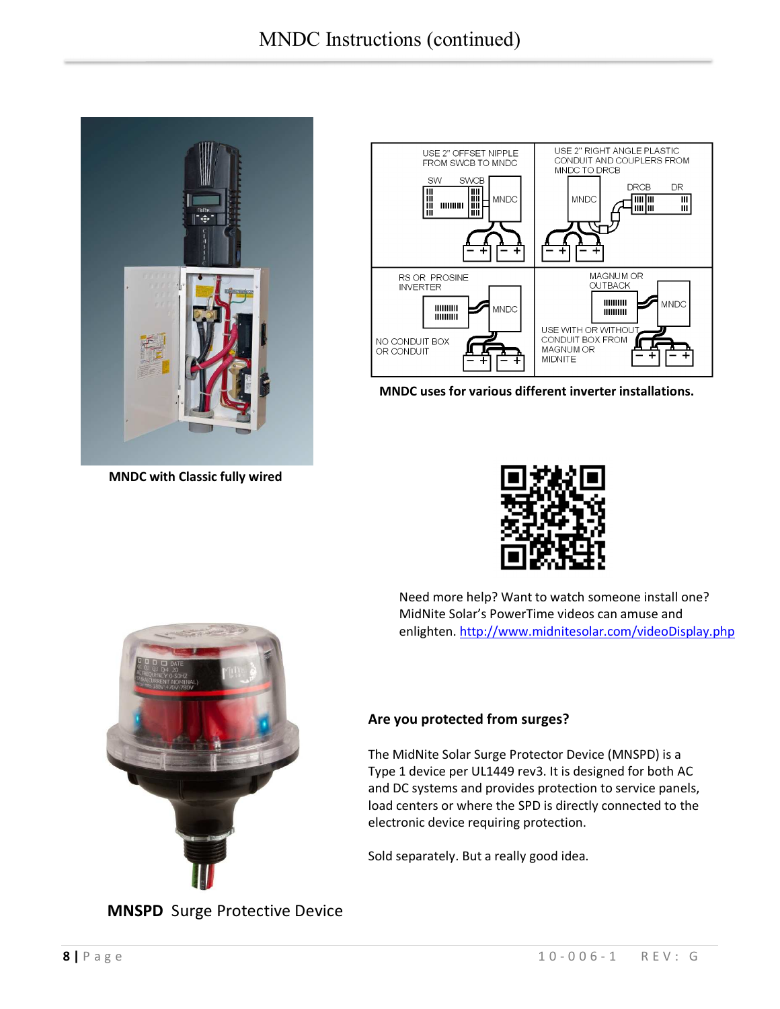

 **MNDC with Classic fully wired** 



 **MNDC uses for various different inverter installations.** 



 Need more help? Want to watch someone install one? MidNite Solar's PowerTime videos can amuse and enlighten. http://www.midnitesolar.com/videoDisplay.php



#### **Are you protected from surges?**

The MidNite Solar Surge Protector Device (MNSPD) is a Type 1 device per UL1449 rev3. It is designed for both AC and DC systems and provides protection to service panels, load centers or where the SPD is directly connected to the electronic device requiring protection.

Sold separately. But a really good idea.

### **MNSPD** Surge Protective Device